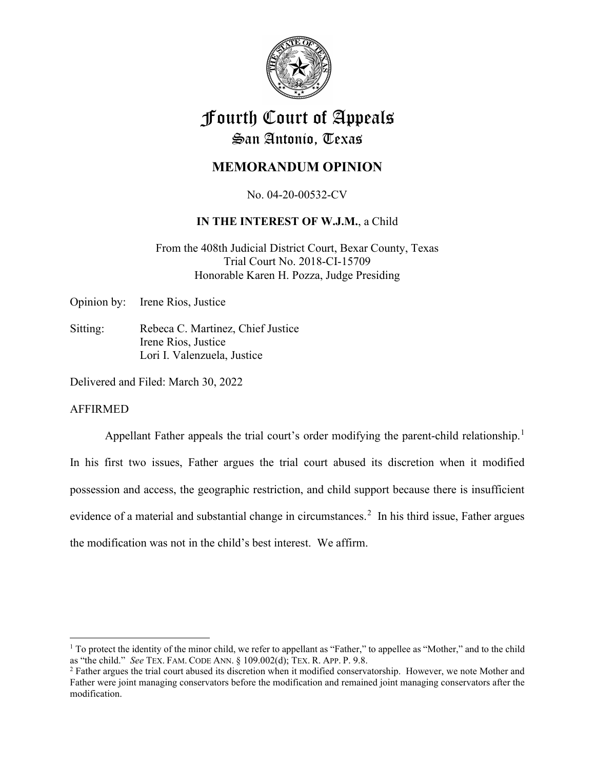

# Fourth Court of Appeals San Antonio, Texas

# **MEMORANDUM OPINION**

No. 04-20-00532-CV

# **IN THE INTEREST OF W.J.M.**, a Child

From the 408th Judicial District Court, Bexar County, Texas Trial Court No. 2018-CI-15709 Honorable Karen H. Pozza, Judge Presiding

Opinion by: Irene Rios, Justice

Sitting: Rebeca C. Martinez, Chief Justice Irene Rios, Justice Lori I. Valenzuela, Justice

Delivered and Filed: March 30, 2022

# AFFIRMED

Appellant Father appeals the trial court's order modifying the parent-child relationship.<sup>[1](#page-0-0)</sup> In his first two issues, Father argues the trial court abused its discretion when it modified possession and access, the geographic restriction, and child support because there is insufficient evidence of a material and substantial change in circumstances.<sup>[2](#page-0-1)</sup> In his third issue, Father argues the modification was not in the child's best interest. We affirm.

<span id="page-0-0"></span> $<sup>1</sup>$  To protect the identity of the minor child, we refer to appellant as "Father," to appellee as "Mother," and to the child</sup> as "the child." *See* TEX. FAM. CODE ANN. § 109.002(d); TEX. R. APP. P. 9.8.

<span id="page-0-1"></span><sup>&</sup>lt;sup>2</sup> Father argues the trial court abused its discretion when it modified conservatorship. However, we note Mother and Father were joint managing conservators before the modification and remained joint managing conservators after the modification.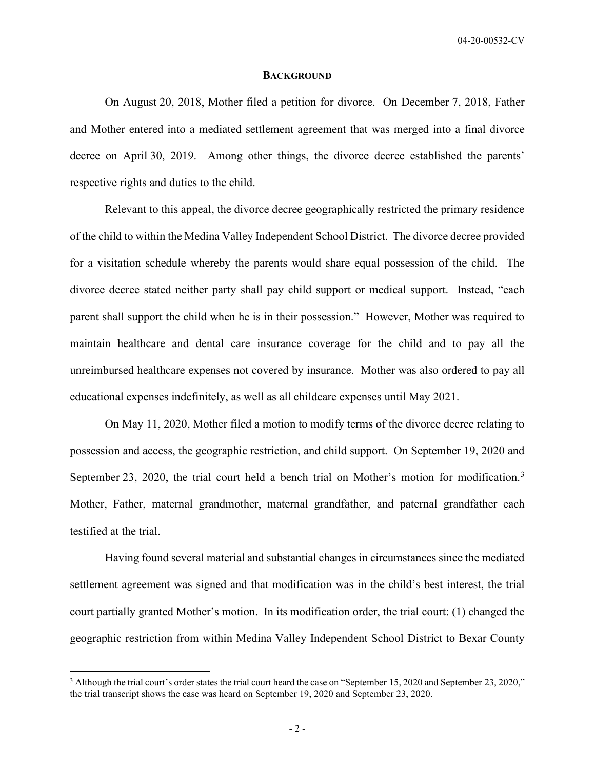#### **BACKGROUND**

On August 20, 2018, Mother filed a petition for divorce. On December 7, 2018, Father and Mother entered into a mediated settlement agreement that was merged into a final divorce decree on April 30, 2019. Among other things, the divorce decree established the parents' respective rights and duties to the child.

Relevant to this appeal, the divorce decree geographically restricted the primary residence of the child to within the Medina Valley Independent School District. The divorce decree provided for a visitation schedule whereby the parents would share equal possession of the child. The divorce decree stated neither party shall pay child support or medical support. Instead, "each parent shall support the child when he is in their possession." However, Mother was required to maintain healthcare and dental care insurance coverage for the child and to pay all the unreimbursed healthcare expenses not covered by insurance. Mother was also ordered to pay all educational expenses indefinitely, as well as all childcare expenses until May 2021.

On May 11, 2020, Mother filed a motion to modify terms of the divorce decree relating to possession and access, the geographic restriction, and child support. On September 19, 2020 and September 2[3](#page-1-0), 2020, the trial court held a bench trial on Mother's motion for modification.<sup>3</sup> Mother, Father, maternal grandmother, maternal grandfather, and paternal grandfather each testified at the trial.

Having found several material and substantial changes in circumstances since the mediated settlement agreement was signed and that modification was in the child's best interest, the trial court partially granted Mother's motion. In its modification order, the trial court: (1) changed the geographic restriction from within Medina Valley Independent School District to Bexar County

<span id="page-1-0"></span><sup>&</sup>lt;sup>3</sup> Although the trial court's order states the trial court heard the case on "September 15, 2020 and September 23, 2020," the trial transcript shows the case was heard on September 19, 2020 and September 23, 2020.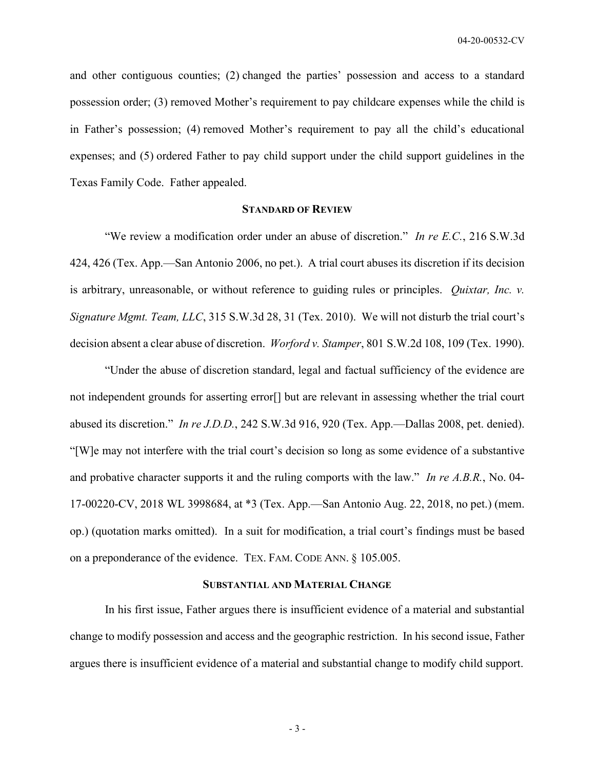and other contiguous counties; (2) changed the parties' possession and access to a standard possession order; (3) removed Mother's requirement to pay childcare expenses while the child is in Father's possession; (4) removed Mother's requirement to pay all the child's educational expenses; and (5) ordered Father to pay child support under the child support guidelines in the Texas Family Code. Father appealed.

# **STANDARD OF REVIEW**

"We review a modification order under an abuse of discretion." *In re E.C.*, 216 S.W.3d 424, 426 (Tex. App.—San Antonio 2006, no pet.). A trial court abuses its discretion if its decision is arbitrary, unreasonable, or without reference to guiding rules or principles. *Quixtar, Inc. v. Signature Mgmt. Team, LLC*, 315 S.W.3d 28, 31 (Tex. 2010). We will not disturb the trial court's decision absent a clear abuse of discretion. *Worford v. Stamper*, 801 S.W.2d 108, 109 (Tex. 1990).

"Under the abuse of discretion standard, legal and factual sufficiency of the evidence are not independent grounds for asserting error[] but are relevant in assessing whether the trial court abused its discretion." *In re J.D.D.*, 242 S.W.3d 916, 920 (Tex. App.—Dallas 2008, pet. denied). "[W]e may not interfere with the trial court's decision so long as some evidence of a substantive and probative character supports it and the ruling comports with the law." *In re A.B.R.*, No. 04- 17-00220-CV, 2018 WL 3998684, at \*3 (Tex. App.—San Antonio Aug. 22, 2018, no pet.) (mem. op.) (quotation marks omitted). In a suit for modification, a trial court's findings must be based on a preponderance of the evidence. TEX. FAM. CODE ANN. § 105.005.

#### **SUBSTANTIAL AND MATERIAL CHANGE**

In his first issue, Father argues there is insufficient evidence of a material and substantial change to modify possession and access and the geographic restriction. In his second issue, Father argues there is insufficient evidence of a material and substantial change to modify child support.

- 3 -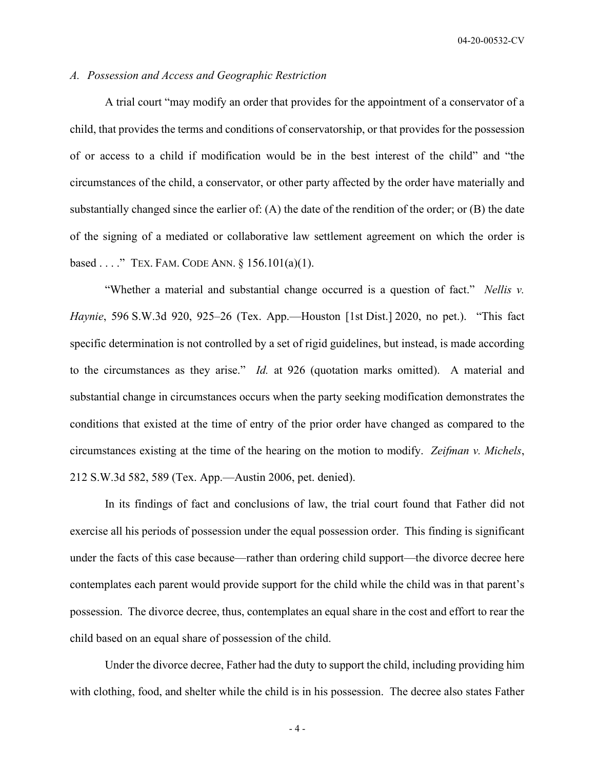# *A. Possession and Access and Geographic Restriction*

A trial court "may modify an order that provides for the appointment of a conservator of a child, that provides the terms and conditions of conservatorship, or that provides for the possession of or access to a child if modification would be in the best interest of the child" and "the circumstances of the child, a conservator, or other party affected by the order have materially and substantially changed since the earlier of: (A) the date of the rendition of the order; or (B) the date of the signing of a mediated or collaborative law settlement agreement on which the order is based . . . ." TEX. FAM. CODE ANN. § 156.101(a)(1).

"Whether a material and substantial change occurred is a question of fact." *Nellis v. Haynie*, 596 S.W.3d 920, 925–26 (Tex. App.—Houston [1st Dist.] 2020, no pet.). "This fact specific determination is not controlled by a set of rigid guidelines, but instead, is made according to the circumstances as they arise." *Id.* at 926 (quotation marks omitted). A material and substantial change in circumstances occurs when the party seeking modification demonstrates the conditions that existed at the time of entry of the prior order have changed as compared to the circumstances existing at the time of the hearing on the motion to modify. *Zeifman v. Michels*, 212 S.W.3d 582, 589 (Tex. App.—Austin 2006, pet. denied).

In its findings of fact and conclusions of law, the trial court found that Father did not exercise all his periods of possession under the equal possession order. This finding is significant under the facts of this case because—rather than ordering child support—the divorce decree here contemplates each parent would provide support for the child while the child was in that parent's possession. The divorce decree, thus, contemplates an equal share in the cost and effort to rear the child based on an equal share of possession of the child.

Under the divorce decree, Father had the duty to support the child, including providing him with clothing, food, and shelter while the child is in his possession. The decree also states Father

 $-4-$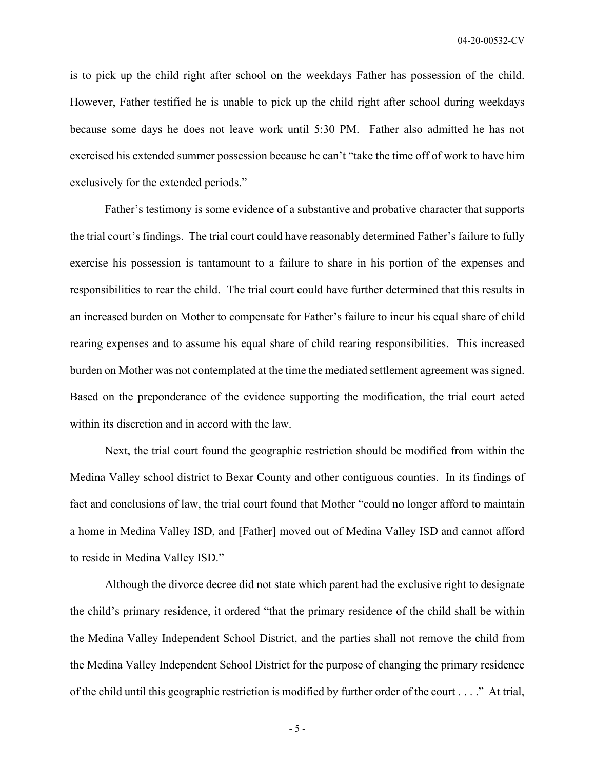is to pick up the child right after school on the weekdays Father has possession of the child. However, Father testified he is unable to pick up the child right after school during weekdays because some days he does not leave work until 5:30 PM. Father also admitted he has not exercised his extended summer possession because he can't "take the time off of work to have him exclusively for the extended periods."

Father's testimony is some evidence of a substantive and probative character that supports the trial court's findings. The trial court could have reasonably determined Father's failure to fully exercise his possession is tantamount to a failure to share in his portion of the expenses and responsibilities to rear the child. The trial court could have further determined that this results in an increased burden on Mother to compensate for Father's failure to incur his equal share of child rearing expenses and to assume his equal share of child rearing responsibilities. This increased burden on Mother was not contemplated at the time the mediated settlement agreement was signed. Based on the preponderance of the evidence supporting the modification, the trial court acted within its discretion and in accord with the law.

Next, the trial court found the geographic restriction should be modified from within the Medina Valley school district to Bexar County and other contiguous counties. In its findings of fact and conclusions of law, the trial court found that Mother "could no longer afford to maintain a home in Medina Valley ISD, and [Father] moved out of Medina Valley ISD and cannot afford to reside in Medina Valley ISD."

Although the divorce decree did not state which parent had the exclusive right to designate the child's primary residence, it ordered "that the primary residence of the child shall be within the Medina Valley Independent School District, and the parties shall not remove the child from the Medina Valley Independent School District for the purpose of changing the primary residence of the child until this geographic restriction is modified by further order of the court . . . ." At trial,

- 5 -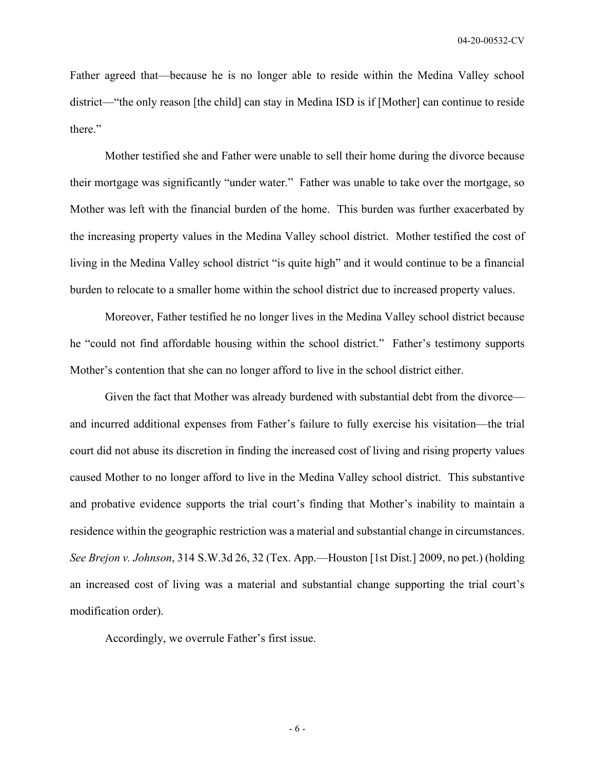Father agreed that—because he is no longer able to reside within the Medina Valley school district—"the only reason [the child] can stay in Medina ISD is if [Mother] can continue to reside there."

Mother testified she and Father were unable to sell their home during the divorce because their mortgage was significantly "under water." Father was unable to take over the mortgage, so Mother was left with the financial burden of the home. This burden was further exacerbated by the increasing property values in the Medina Valley school district. Mother testified the cost of living in the Medina Valley school district "is quite high" and it would continue to be a financial burden to relocate to a smaller home within the school district due to increased property values.

Moreover, Father testified he no longer lives in the Medina Valley school district because he "could not find affordable housing within the school district." Father's testimony supports Mother's contention that she can no longer afford to live in the school district either.

Given the fact that Mother was already burdened with substantial debt from the divorce and incurred additional expenses from Father's failure to fully exercise his visitation—the trial court did not abuse its discretion in finding the increased cost of living and rising property values caused Mother to no longer afford to live in the Medina Valley school district. This substantive and probative evidence supports the trial court's finding that Mother's inability to maintain a residence within the geographic restriction was a material and substantial change in circumstances. *See Brejon v. Johnson*, 314 S.W.3d 26, 32 (Tex. App.—Houston [1st Dist.] 2009, no pet.) (holding an increased cost of living was a material and substantial change supporting the trial court's modification order).

Accordingly, we overrule Father's first issue.

- 6 -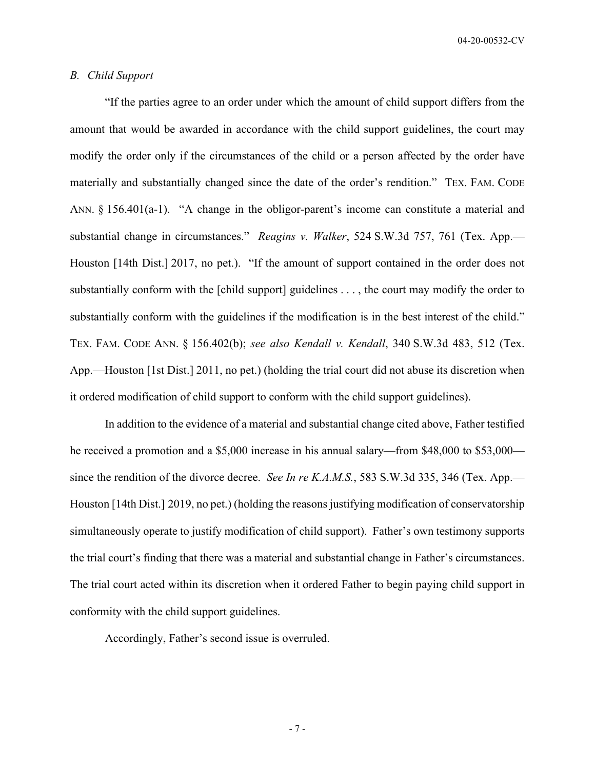# *B. Child Support*

"If the parties agree to an order under which the amount of child support differs from the amount that would be awarded in accordance with the child support guidelines, the court may modify the order only if the circumstances of the child or a person affected by the order have materially and substantially changed since the date of the order's rendition." TEX. FAM. CODE ANN. § 156.401(a-1). "A change in the obligor-parent's income can constitute a material and substantial change in circumstances." *Reagins v. Walker*, 524 S.W.3d 757, 761 (Tex. App.— Houston [14th Dist.] 2017, no pet.). "If the amount of support contained in the order does not substantially conform with the [child support] guidelines . . . , the court may modify the order to substantially conform with the guidelines if the modification is in the best interest of the child." TEX. FAM. CODE ANN. § 156.402(b); *see also Kendall v. Kendall*, 340 S.W.3d 483, 512 (Tex. App.—Houston [1st Dist.] 2011, no pet.) (holding the trial court did not abuse its discretion when it ordered modification of child support to conform with the child support guidelines).

In addition to the evidence of a material and substantial change cited above, Father testified he received a promotion and a \$5,000 increase in his annual salary—from \$48,000 to \$53,000 since the rendition of the divorce decree. *See In re K.A.M.S.*, 583 S.W.3d 335, 346 (Tex. App.— Houston [14th Dist.] 2019, no pet.) (holding the reasons justifying modification of conservatorship simultaneously operate to justify modification of child support). Father's own testimony supports the trial court's finding that there was a material and substantial change in Father's circumstances. The trial court acted within its discretion when it ordered Father to begin paying child support in conformity with the child support guidelines.

Accordingly, Father's second issue is overruled.

- 7 -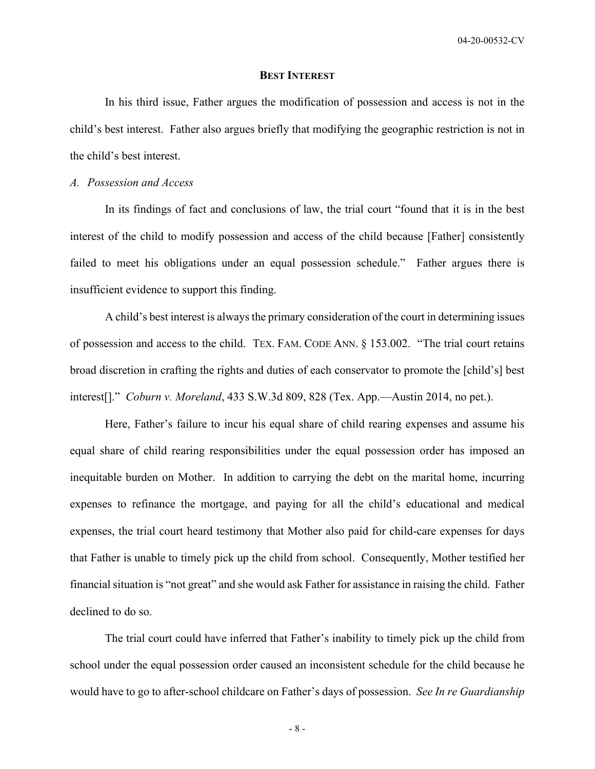# **BEST INTEREST**

In his third issue, Father argues the modification of possession and access is not in the child's best interest. Father also argues briefly that modifying the geographic restriction is not in the child's best interest.

#### *A. Possession and Access*

In its findings of fact and conclusions of law, the trial court "found that it is in the best interest of the child to modify possession and access of the child because [Father] consistently failed to meet his obligations under an equal possession schedule." Father argues there is insufficient evidence to support this finding.

A child's best interest is always the primary consideration of the court in determining issues of possession and access to the child. TEX. FAM. CODE ANN. § 153.002. "The trial court retains broad discretion in crafting the rights and duties of each conservator to promote the [child's] best interest[]." *Coburn v. Moreland*, 433 S.W.3d 809, 828 (Tex. App.—Austin 2014, no pet.).

Here, Father's failure to incur his equal share of child rearing expenses and assume his equal share of child rearing responsibilities under the equal possession order has imposed an inequitable burden on Mother. In addition to carrying the debt on the marital home, incurring expenses to refinance the mortgage, and paying for all the child's educational and medical expenses, the trial court heard testimony that Mother also paid for child-care expenses for days that Father is unable to timely pick up the child from school. Consequently, Mother testified her financial situation is "not great" and she would ask Father for assistance in raising the child. Father declined to do so.

The trial court could have inferred that Father's inability to timely pick up the child from school under the equal possession order caused an inconsistent schedule for the child because he would have to go to after-school childcare on Father's days of possession. *See In re Guardianship* 

- 8 -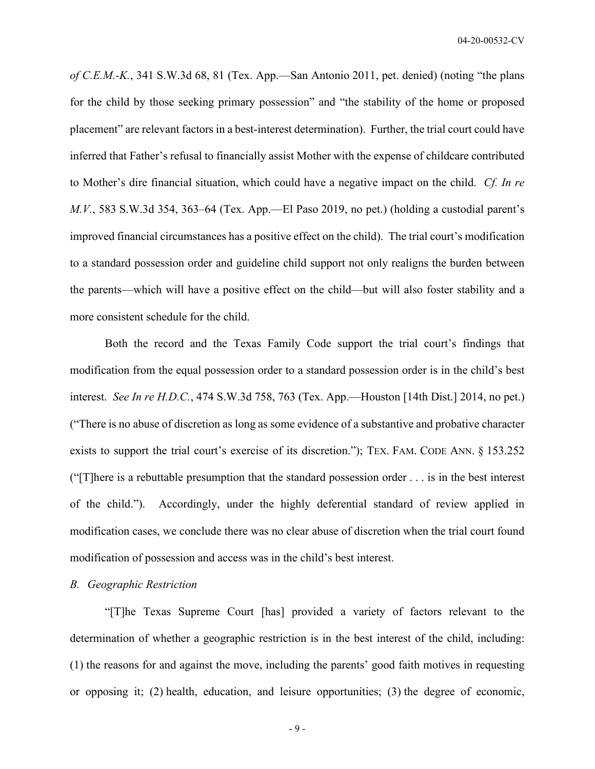*of C.E.M.-K.*, 341 S.W.3d 68, 81 (Tex. App.—San Antonio 2011, pet. denied) (noting "the plans for the child by those seeking primary possession" and "the stability of the home or proposed placement" are relevant factors in a best-interest determination). Further, the trial court could have inferred that Father's refusal to financially assist Mother with the expense of childcare contributed to Mother's dire financial situation, which could have a negative impact on the child. *Cf. In re M.V.*, 583 S.W.3d 354, 363–64 (Tex. App.—El Paso 2019, no pet.) (holding a custodial parent's improved financial circumstances has a positive effect on the child). The trial court's modification to a standard possession order and guideline child support not only realigns the burden between the parents—which will have a positive effect on the child—but will also foster stability and a more consistent schedule for the child.

Both the record and the Texas Family Code support the trial court's findings that modification from the equal possession order to a standard possession order is in the child's best interest. *See In re H.D.C.*, 474 S.W.3d 758, 763 (Tex. App.—Houston [14th Dist.] 2014, no pet.) ("There is no abuse of discretion as long as some evidence of a substantive and probative character exists to support the trial court's exercise of its discretion."); TEX. FAM. CODE ANN. § 153.252 ("[T]here is a rebuttable presumption that the standard possession order . . . is in the best interest of the child."). Accordingly, under the highly deferential standard of review applied in modification cases, we conclude there was no clear abuse of discretion when the trial court found modification of possession and access was in the child's best interest.

#### *B. Geographic Restriction*

"[T]he Texas Supreme Court [has] provided a variety of factors relevant to the determination of whether a geographic restriction is in the best interest of the child, including: (1) the reasons for and against the move, including the parents' good faith motives in requesting or opposing it; (2) health, education, and leisure opportunities; (3) the degree of economic,

- 9 -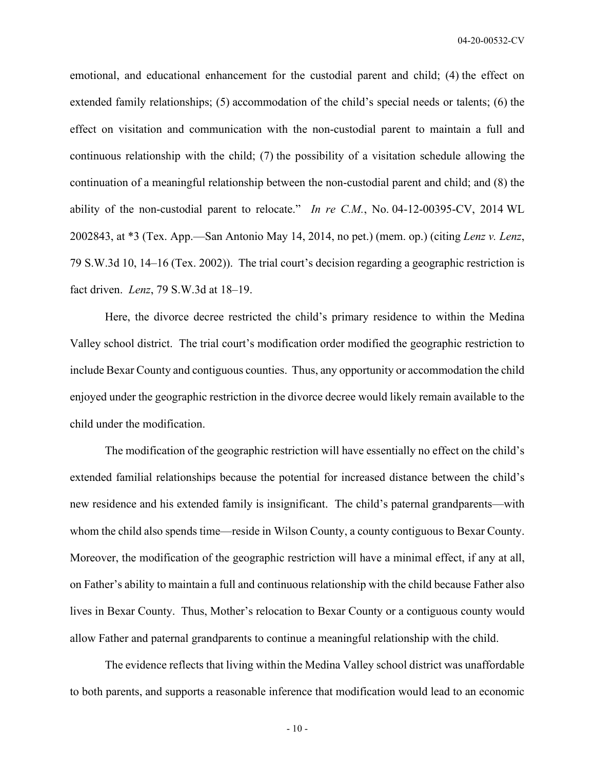emotional, and educational enhancement for the custodial parent and child; (4) the effect on extended family relationships; (5) accommodation of the child's special needs or talents; (6) the effect on visitation and communication with the non-custodial parent to maintain a full and continuous relationship with the child; (7) the possibility of a visitation schedule allowing the continuation of a meaningful relationship between the non-custodial parent and child; and (8) the ability of the non-custodial parent to relocate." *In re C.M.*, No. 04-12-00395-CV, 2014 WL 2002843, at \*3 (Tex. App.—San Antonio May 14, 2014, no pet.) (mem. op.) (citing *Lenz v. Lenz*, 79 S.W.3d 10, 14–16 (Tex. 2002)). The trial court's decision regarding a geographic restriction is fact driven. *Lenz*, 79 S.W.3d at 18–19.

Here, the divorce decree restricted the child's primary residence to within the Medina Valley school district. The trial court's modification order modified the geographic restriction to include Bexar County and contiguous counties. Thus, any opportunity or accommodation the child enjoyed under the geographic restriction in the divorce decree would likely remain available to the child under the modification.

The modification of the geographic restriction will have essentially no effect on the child's extended familial relationships because the potential for increased distance between the child's new residence and his extended family is insignificant. The child's paternal grandparents—with whom the child also spends time—reside in Wilson County, a county contiguous to Bexar County. Moreover, the modification of the geographic restriction will have a minimal effect, if any at all, on Father's ability to maintain a full and continuous relationship with the child because Father also lives in Bexar County. Thus, Mother's relocation to Bexar County or a contiguous county would allow Father and paternal grandparents to continue a meaningful relationship with the child.

The evidence reflects that living within the Medina Valley school district was unaffordable to both parents, and supports a reasonable inference that modification would lead to an economic

- 10 -